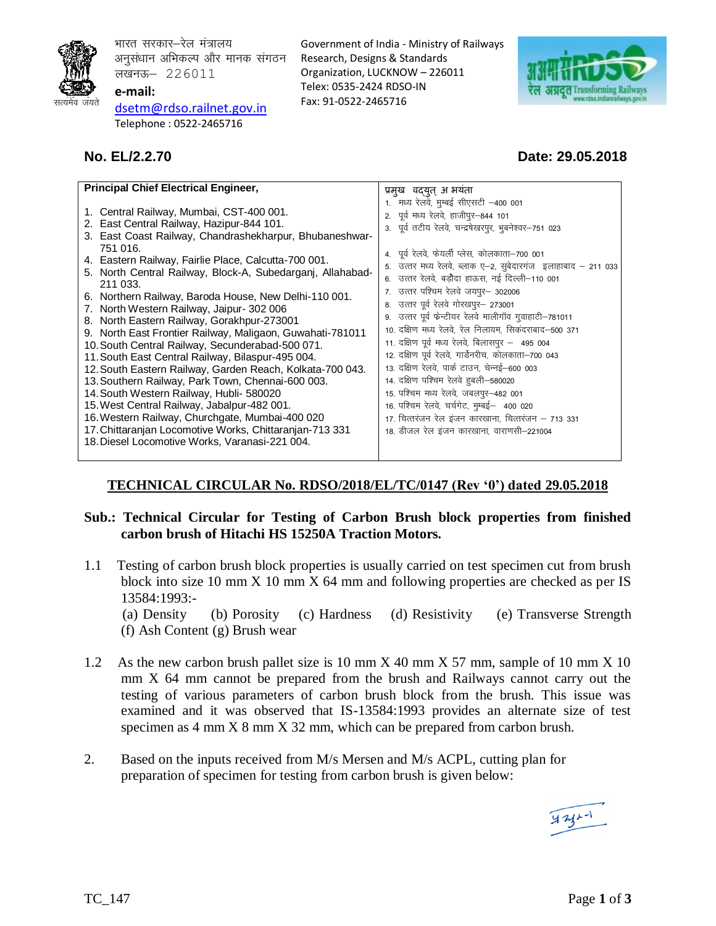

भारत सरकार–रेल मंत्रालय अनुसंधान अभिकल्प और मानक संगठन लखनऊ– 226011 **e-mail:** 

[dsetm@r](mailto:dsetm@)dso.railnet.gov.in Telephone : 0522-2465716

Government of India - Ministry of Railways Research, Designs & Standards Organization, LUCKNOW – 226011 Telex: 0535-2424 RDSO-IN Fax: 91-0522-2465716



# **No. EL/2.2.70 Date: 29.05.2018**

| <b>Principal Chief Electrical Engineer,</b>                                                                                                                                                                                                                                                                                                                                                                                                                                                                                                                                                                                                                                                                                                                                                                                                                                                                                                                                                           | प्रमुख वद्युत् अं भयंता                                                                                                                                                                                                                                                                                                                                                                                                                                                                                                                                                                                                                                                                                                                                                                                                                                                                                    |  |  |  |
|-------------------------------------------------------------------------------------------------------------------------------------------------------------------------------------------------------------------------------------------------------------------------------------------------------------------------------------------------------------------------------------------------------------------------------------------------------------------------------------------------------------------------------------------------------------------------------------------------------------------------------------------------------------------------------------------------------------------------------------------------------------------------------------------------------------------------------------------------------------------------------------------------------------------------------------------------------------------------------------------------------|------------------------------------------------------------------------------------------------------------------------------------------------------------------------------------------------------------------------------------------------------------------------------------------------------------------------------------------------------------------------------------------------------------------------------------------------------------------------------------------------------------------------------------------------------------------------------------------------------------------------------------------------------------------------------------------------------------------------------------------------------------------------------------------------------------------------------------------------------------------------------------------------------------|--|--|--|
| 1. Central Railway, Mumbai, CST-400 001.<br>2. East Central Railway, Hazipur-844 101.<br>3. East Coast Railway, Chandrashekharpur, Bhubaneshwar-<br>751 016.<br>4. Eastern Railway, Fairlie Place, Calcutta-700 001.<br>5. North Central Railway, Block-A, Subedarganj, Allahabad-<br>211 033.<br>6. Northern Railway, Baroda House, New Delhi-110 001.<br>7. North Western Railway, Jaipur- 302 006<br>8. North Eastern Railway, Gorakhpur-273001<br>9. North East Frontier Railway, Maligaon, Guwahati-781011<br>10. South Central Railway, Secunderabad-500 071.<br>11. South East Central Railway, Bilaspur-495 004.<br>12. South Eastern Railway, Garden Reach, Kolkata-700 043.<br>13. Southern Railway, Park Town, Chennai-600 003.<br>14. South Western Railway, Hubli- 580020<br>15. West Central Railway, Jabalpur-482 001.<br>16. Western Railway, Churchgate, Mumbai-400 020<br>17. Chittaranjan Locomotive Works, Chittaranjan-713 331<br>18. Diesel Locomotive Works, Varanasi-221 004. | 1. मध्य रेलवे, मुम्बई सीएसटी –400 001<br>2. पूर्व मध्य रेलवे, हाजीपुर-844 101<br>3. पूर्व तटीय रेलवे, चन्द्रषेखरपुर, भुबनेश्वर-751 023<br>4. पूर्व रेलवे, फेयर्ली प्लेस, कोलकाता-700 001<br>5. उत्तर मध्य रेलवे, ब्लाक ए–2, सुबेदारगंज इलाहाबाद – 211 033<br>6.  उत्तर रेलवे, बडौदा हाऊस, नई दिल्ली–110 001<br>7. उत्तर पश्चिम रेलवे जयपुर- 302006<br>8. उत्तर पूर्व रेलवे गोरखपुर– 273001<br>9. उत्तर पूर्व फेन्टीयर रेलवे मालीगॉव गुवाहाटी–781011<br>10. दक्षिण मध्य रेलवे, रेल निलायम, सिकंदराबाद-500 371<br>11. दक्षिण पूर्व मध्य रेलवे, बिलासपुर – 495 004<br>12. दक्षिण पूर्व रेलवे, गार्डेनरीच, कोलकाता-700 043<br>13. दक्षिण रेलवे, पार्क टाउन, चेन्नई–600 003<br>14. दक्षिण पश्चिम रेलवे हुबली–580020<br>15. पश्चिम मध्य रेलवे, जबलपुर-482 001<br>16. पश्चिम रेलवे, चर्चगेट, मुम्बई - 400 020<br>17. चित्तरंजन रेल इंजन कारखाना, चित्तरंजन – 713 331<br>18. डीजल रेल इंजन कारखाना, वाराणसी–221004 |  |  |  |
|                                                                                                                                                                                                                                                                                                                                                                                                                                                                                                                                                                                                                                                                                                                                                                                                                                                                                                                                                                                                       |                                                                                                                                                                                                                                                                                                                                                                                                                                                                                                                                                                                                                                                                                                                                                                                                                                                                                                            |  |  |  |

# **TECHNICAL CIRCULAR No. RDSO/2018/EL/TC/0147 (Rev '0') dated 29.05.2018**

## **Sub.: Technical Circular for Testing of Carbon Brush block properties from finished carbon brush of Hitachi HS 15250A Traction Motors.**

1.1 Testing of carbon brush block properties is usually carried on test specimen cut from brush block into size 10 mm X 10 mm X 64 mm and following properties are checked as per IS 13584:1993:-

 (a) Density (b) Porosity (c) Hardness (d) Resistivity (e) Transverse Strength (f) Ash Content (g) Brush wear

- 1.2 As the new carbon brush pallet size is 10 mm X 40 mm X 57 mm, sample of 10 mm X 10 mm X 64 mm cannot be prepared from the brush and Railways cannot carry out the testing of various parameters of carbon brush block from the brush. This issue was examined and it was observed that IS-13584:1993 provides an alternate size of test specimen as 4 mm X 8 mm X 32 mm, which can be prepared from carbon brush.
- 2. Based on the inputs received from M/s Mersen and M/s ACPL, cutting plan for preparation of specimen for testing from carbon brush is given below:

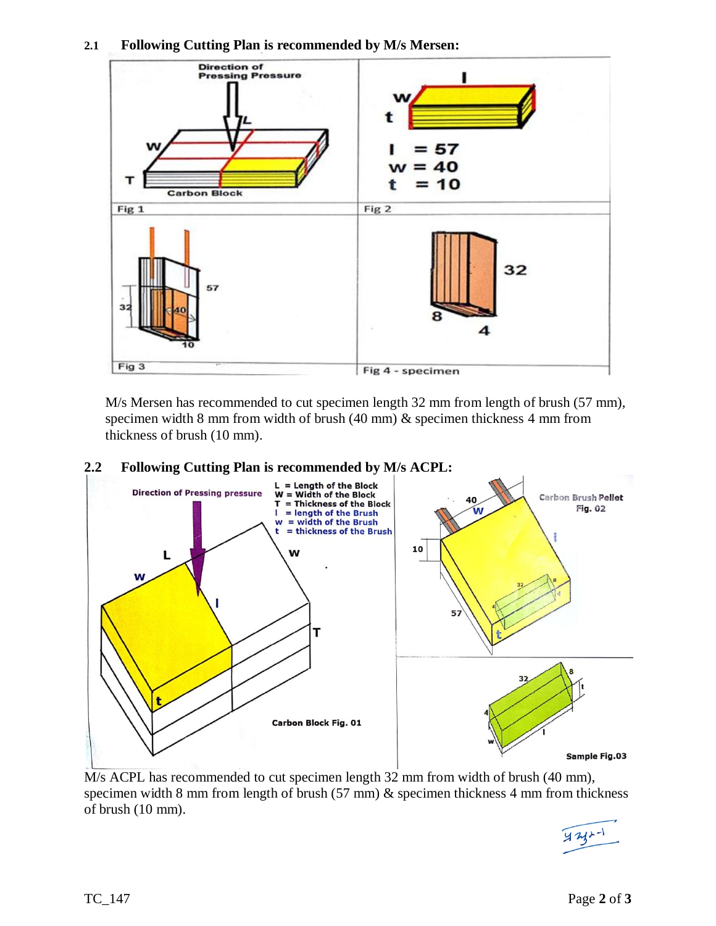



M/s Mersen has recommended to cut specimen length 32 mm from length of brush (57 mm), specimen width 8 mm from width of brush (40 mm) & specimen thickness 4 mm from thickness of brush (10 mm).



M/s ACPL has recommended to cut specimen length 32 mm from width of brush (40 mm), specimen width 8 mm from length of brush (57 mm) & specimen thickness 4 mm from thickness of brush (10 mm).